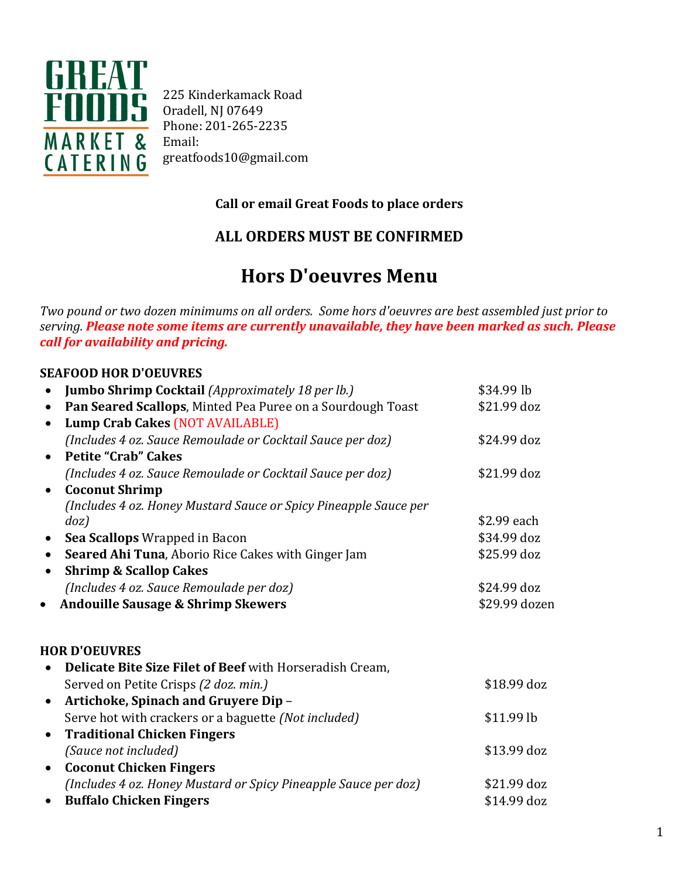

225 Kinderkamack Road Oradell, NJ 07649 Phone: 201-265-2235 Email: greatfoods10@gmail.com

### **Call or email Great Foods to place orders**

## **ALL ORDERS MUST BE CONFIRMED**

# **Hors D'oeuvres Menu**

*Two pound or two dozen minimums on all orders. Some hors d'oeuvres are best assembled just prior to serving. Please note some items are currently unavailable, they have been marked as such. Please call for availability and pricing.*

### **SEAFOOD HOR D'OEUVRES**

| Jumbo Shrimp Cocktail (Approximately 18 per lb.)<br>$\bullet$           | \$34.99 lb    |
|-------------------------------------------------------------------------|---------------|
| Pan Seared Scallops, Minted Pea Puree on a Sourdough Toast<br>$\bullet$ | \$21.99 doz   |
| <b>Lump Crab Cakes (NOT AVAILABLE)</b><br>$\bullet$                     |               |
| (Includes 4 oz. Sauce Remoulade or Cocktail Sauce per doz)              | \$24.99 doz   |
| <b>Petite "Crab" Cakes</b><br>$\bullet$                                 |               |
| (Includes 4 oz. Sauce Remoulade or Cocktail Sauce per doz)              | \$21.99 doz   |
| <b>Coconut Shrimp</b><br>$\bullet$                                      |               |
| (Includes 4 oz. Honey Mustard Sauce or Spicy Pineapple Sauce per        |               |
| doz)                                                                    | \$2.99 each   |
| Sea Scallops Wrapped in Bacon<br>$\bullet$                              | \$34.99 doz   |
| <b>Seared Ahi Tuna, Aborio Rice Cakes with Ginger Jam</b><br>$\bullet$  | \$25.99 doz   |
| <b>Shrimp &amp; Scallop Cakes</b><br>$\bullet$                          |               |
| (Includes 4 oz. Sauce Remoulade per doz)                                | \$24.99 doz   |
| <b>Andouille Sausage &amp; Shrimp Skewers</b><br>$\bullet$              | \$29.99 dozen |
|                                                                         |               |
|                                                                         |               |
| <b>HOR D'OEUVRES</b>                                                    |               |
| Delicate Bite Size Filet of Beef with Horseradish Cream,                |               |
| Served on Petite Crisps (2 doz. min.)                                   | \$18.99 doz   |
| Artichoke, Spinach and Gruyere Dip -<br>$\bullet$                       |               |
| Serve hot with crackers or a baguette (Not included)                    | $$11.99$ lb   |
| <b>Traditional Chicken Fingers</b><br>$\bullet$                         |               |
| (Sauce not included)                                                    | \$13.99 doz   |
| <b>Coconut Chicken Fingers</b><br>$\bullet$                             |               |
| (Includes 4 oz. Honey Mustard or Spicy Pineapple Sauce per doz)         | \$21.99 doz   |
| <b>Buffalo Chicken Fingers</b><br>$\bullet$                             | \$14.99 doz   |